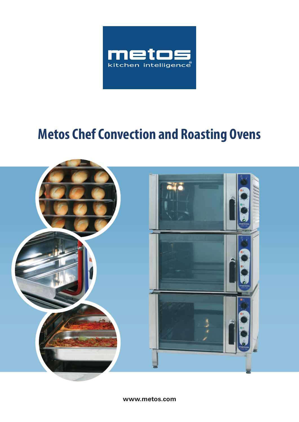

# **Metos Chef Convection and Roasting Ovens**



**www.metos.com**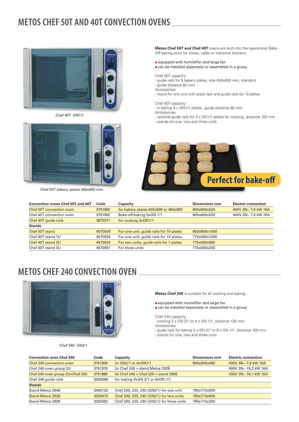# **METOS CHEF 50T AND 40T CONVECTION OVENS**



Chef 40T GN1/1



Chef 50T bakery plates 450x600 mm

**Metos Chef 50T and Chef 40T** ovens are built into the operational Bake-Off baking point for shops, cafés or industrial kitchens.

- equipped with humidifier and large fan
- can be installed separately or assembled in a group

Chef 50T capacity:

- guide rails for 5 bakery plates, size 450x600 mm, standard - guide distance 82 mm
- Accessories
- stand for one unit with plate rack and guide rails for 10 plates

#### Chef 40T capacity:

- in baking 5 x GN1/1 plates, guide distance 80 mm
- **Accessories**
- optional guide rails for 3 x GN1/1 plates for cooking, distance 125 mm
- stands for one, two and three units



| <b>Convection ovens Chef 50T and 40T</b> | Code    | Capacity                                | Dimensions mm | <b>Electric connection</b> |
|------------------------------------------|---------|-----------------------------------------|---------------|----------------------------|
| Chef 50T convection oven                 | 3751965 | for bakery plates 400x600 or 450x600    | 800x800x520   | 400V 3N~ 7.6 kW 16A        |
| Chef 40T convection oven                 | 3751962 | Bake-off/baking 5xGN 1/1                | 800×600×520   | 400V 3N~ 7,6 kW 16A        |
| Chef 40T quide rails                     | 3672071 | for cooking 3xGN1/1                     |               |                            |
| <b>Stands</b>                            |         |                                         |               |                            |
| Chef 50T stand                           | 4570509 | For one unit, guide rails for 10 plates | 800x800x1000  |                            |
| Chef 40T stand 1U                        | 4570925 | For one unit, guide rails for 10 plates | 775x560x1000  |                            |
| Chef 40T stand 2U                        | 4570932 | For two units, guide rails for 7 plates | 775x560x660   |                            |
| Chef 40T stand 3U                        | 4570957 | For three units                         | 775x560x200   |                            |

### **METOS CHEF 240 CONVECTION OVEN**



Chef 240 GN2/1

**Metos Chef 240** is suitable for all cooking and baking.

 $\bullet$  equipped with humidifier and large fan

- can be installed separately or assembled in a group
- Chef 240 capacity:
- cooking 2 x GN 2/1 or 4 x GN 1/1, distance 125 mm
- **Accessories**
- guide rails for baking 3 x GN 2/1 or 6 x GN 1/1, distance 100 mm
- stands for one, two and three units

| <b>Convection oven Chef 240</b> | Code    | <b>Capacity</b>                            | Dimensions mm | <b>Electric connection</b> |
|---------------------------------|---------|--------------------------------------------|---------------|----------------------------|
| Chef 240 convection oven        | 3751958 | 2x GN2/1 or 4x GN1/1                       | 800x800x460   | 400V 3N~ 7.6 kW 16A        |
| Chef 240 oven group 2U          | 3751978 | $2x$ Chef 240 + stand Metos 2928           |               | 400V 3N~ 15,2 kW 16A       |
| Chef 240 oven group 2U+Chef 200 | 3751986 | $2x$ Chef 240 + Chef 200 + stand 2908      |               | 400V 3N~ 16,1 kW 16A       |
| Chef 240 quide rails            | 3593486 | for baking 3xGN 2/1 or 6xGN 1/1            |               |                            |
| <b>Stands</b>                   |         |                                            |               |                            |
| Stand Metos 2948                | 3466135 | Chef 200, 220, 240 (GN2/1) for one unit    | 790x710x900   |                            |
| <b>Stand Metos 2928</b>         | 3293475 | Chef 200, 220, 240 (GN2/1) for two units   | 790x710x660   |                            |
| Stand Metos 2908                | 3293482 | Chef 200, 220, 240 (GN2/1) for three units | 790x710x200   |                            |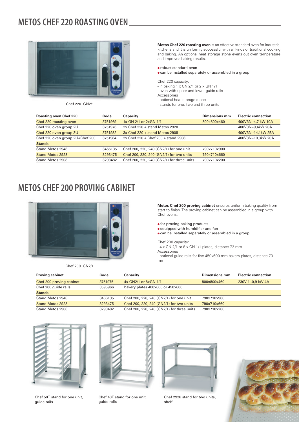## **METOS CHEF 220 ROASTING OVEN**



**Metos Chef 220 roasting oven** is an effective standard oven for industrial kitchens and it is uniformly successful with all kinds of traditional cooking and baking. An optional heat storage stone evens out oven temperature and improves baking results.

#### ● robust standard oven

● can be installed separately or assembled in a group

Chef 220 capacity:

- in baking  $1 \times$  GN 2/1 or 2  $\times$  GN 1/1
- oven with upper and lower guide rails

Accessories

- optional heat storage stone
- Chef 220 GN2/1 stands for one, two and three units

| <b>Roasting oven Chef 220</b>   | Code    | Capacity                                   | Dimensions mm | <b>Electric connection</b> |
|---------------------------------|---------|--------------------------------------------|---------------|----------------------------|
| Chef 220 roasting oven          | 3751969 | 1x GN 2/1 or 2x GN 1/1                     | 800x800x460   | 400V3N~4.7 kW 10A          |
| Chef 220 oven group 2U          | 3751976 | $2x$ Chef 220 + stand Metos 2928           |               | 400V3N~9,4kW 20A           |
| Chef 220 oven group 3U          | 3751982 | $3x$ Chef 220 + stand Metos 2908           |               | 400V3N~14,1kW 25A          |
| Chef 220 oven group 2U+Chef 200 | 3751984 | 2x Chef 220 + Chef 200 + stand 2908        |               | 400V3N~10,3kW 20A          |
| <b>Stands</b>                   |         |                                            |               |                            |
| Stand Metos 2948                | 3466135 | Chef 200, 220, 240 (GN2/1) for one unit    | 790x710x900   |                            |
| <b>Stand Metos 2928</b>         | 3293475 | Chef 200, 220, 240 (GN2/1) for two units   | 790x710x660   |                            |
| Stand Metos 2908                | 3293482 | Chef 200, 220, 240 (GN2/1) for three units | 790x710x200   |                            |
|                                 |         |                                            |               |                            |

### **METOS CHEF 200 PROVING CABINET**



Chef 200 GN2/1

**Metos Chef 200 proving cabinet** ensures uniform baking quality from start to finish. The proving cabinet can be assembled in a group with Chef ovens.

- for proving baking products
- equipped with humidifier and fan
- can be installed separately or assembled in a group

Chef 200 capacity:

-  $4 \times$  GN 2/1 or  $8 \times$  GN 1/1 plates, distance 72 mm

Accessories

- optional guide rails for five 450x600 mm bakery plates, distance 73 mm

| <b>Proving cabinet</b>   | Code    | Capacity                                   | Dimensions mm | <b>Electric connection</b> |
|--------------------------|---------|--------------------------------------------|---------------|----------------------------|
| Chef 200 proving cabinet | 3751975 | 4x GN2/1 or 8xGN 1/1                       | 800x800x460   | 230V 1~0,9 kW 4A           |
| Chef 200 guide rails     | 3595966 | bakery plates 400x600 or 450x600           |               |                            |
| <b>Stands</b>            |         |                                            |               |                            |
| Stand Metos 2948         | 3466135 | Chef 200, 220, 240 (GN2/1) for one unit    | 790x710x900   |                            |
| <b>Stand Metos 2928</b>  | 3293475 | Chef 200, 220, 240 (GN2/1) for two units   | 790x710x660   |                            |
| Stand Metos 2908         | 3293482 | Chef 200, 220, 240 (GN2/1) for three units | 790x710x200   |                            |



Chef 50T stand for one unit, guide rails



Chef 40T stand for one unit,

guide rails

Chef 2928 stand for two units, shelf